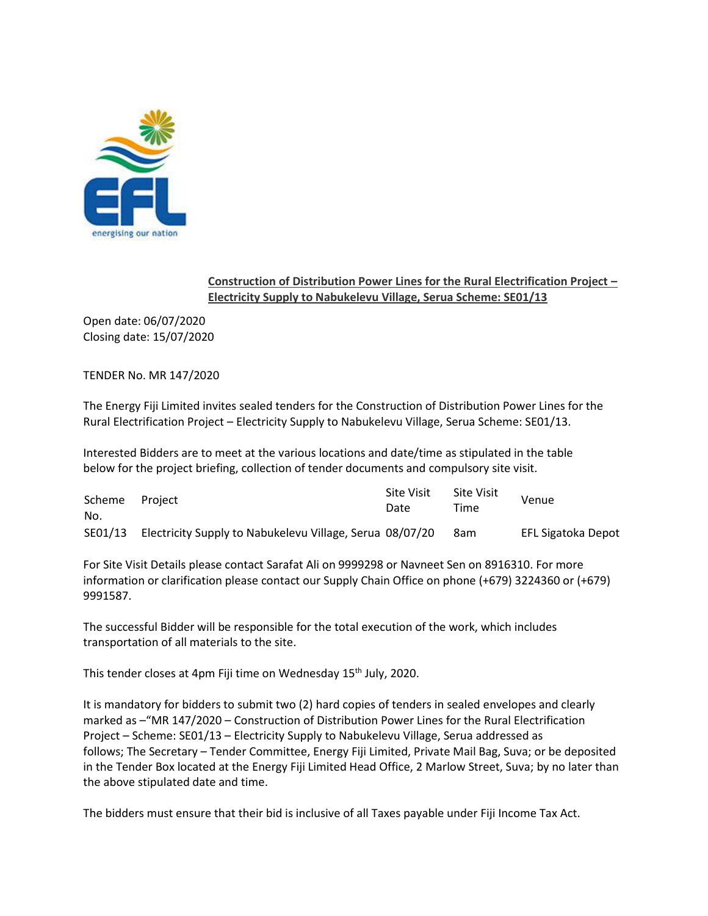

## **Construction of Distribution Power Lines for the Rural Electrification Project – Electricity Supply to Nabukelevu Village, Serua Scheme: SE01/13**

Open date: 06/07/2020 Closing date: 15/07/2020

TENDER No. MR 147/2020

The Energy Fiji Limited invites sealed tenders for the Construction of Distribution Power Lines for the Rural Electrification Project – Electricity Supply to Nabukelevu Village, Serua Scheme: SE01/13.

Interested Bidders are to meet at the various locations and date/time as stipulated in the table below for the project briefing, collection of tender documents and compulsory site visit.

| Scheme<br>No. | Proiect                                                          | <b>Site Visit</b><br>Date | <b>Site Visit</b><br>Time | Venue              |
|---------------|------------------------------------------------------------------|---------------------------|---------------------------|--------------------|
|               | SE01/13 Electricity Supply to Nabukelevu Village, Serua 08/07/20 |                           | 8am                       | EFL Sigatoka Depot |

For Site Visit Details please contact Sarafat Ali on 9999298 or Navneet Sen on 8916310. For more information or clarification please contact our Supply Chain Office on phone (+679) 3224360 or (+679) 9991587.

The successful Bidder will be responsible for the total execution of the work, which includes transportation of all materials to the site.

This tender closes at 4pm Fiji time on Wednesday 15<sup>th</sup> July, 2020.

It is mandatory for bidders to submit two (2) hard copies of tenders in sealed envelopes and clearly marked as –"MR 147/2020 – Construction of Distribution Power Lines for the Rural Electrification Project – Scheme: SE01/13 – Electricity Supply to Nabukelevu Village, Serua addressed as follows; The Secretary – Tender Committee, Energy Fiji Limited, Private Mail Bag, Suva; or be deposited in the Tender Box located at the Energy Fiji Limited Head Office, 2 Marlow Street, Suva; by no later than the above stipulated date and time.

The bidders must ensure that their bid is inclusive of all Taxes payable under Fiji Income Tax Act.